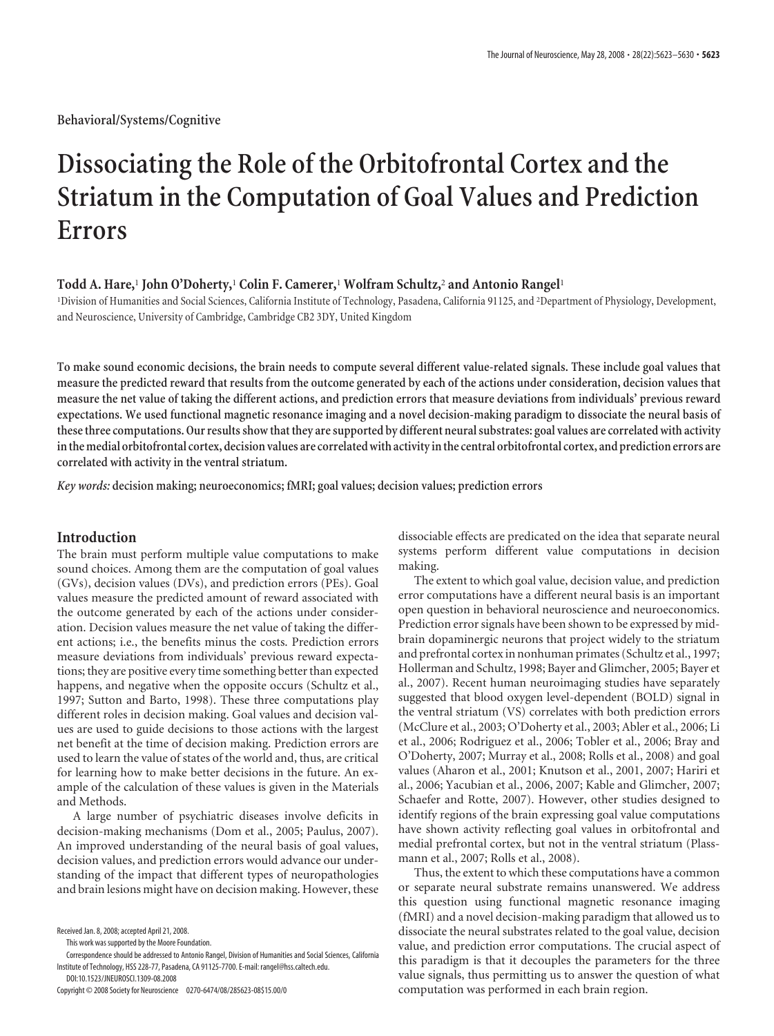**Behavioral/Systems/Cognitive**

# **Dissociating the Role of the Orbitofrontal Cortex and the Striatum in the Computation of Goal Values and Prediction Errors**

# **Todd A. Hare,**<sup>1</sup> **John O'Doherty,**<sup>1</sup> **Colin F. Camerer,**<sup>1</sup> **Wolfram Schultz,**<sup>2</sup> **and Antonio Rangel**<sup>1</sup>

1 Division of Humanities and Social Sciences, California Institute of Technology, Pasadena, California 91125, and <sup>2</sup> Department of Physiology, Development, and Neuroscience, University of Cambridge, Cambridge CB2 3DY, United Kingdom

**To make sound economic decisions, the brain needs to compute several different value-related signals. These include goal values that measure the predicted reward that results from the outcome generated by each of the actions under consideration, decision values that measure the net value of taking the different actions, and prediction errors that measure deviations from individuals' previous reward expectations. We used functional magnetic resonance imaging and a novel decision-making paradigm to dissociate the neural basis of thesethree computations. Our results showthatthey are supported by different neural substrates: goal values are correlated with activity inthe medial orbitofrontal cortex, decision values are correlated with activity inthe central orbitofrontal cortex, and prediction errors are correlated with activity in the ventral striatum.**

*Key words:* **decision making; neuroeconomics; fMRI; goal values; decision values; prediction errors**

# **Introduction**

The brain must perform multiple value computations to make sound choices. Among them are the computation of goal values (GVs), decision values (DVs), and prediction errors (PEs). Goal values measure the predicted amount of reward associated with the outcome generated by each of the actions under consideration. Decision values measure the net value of taking the different actions; i.e., the benefits minus the costs. Prediction errors measure deviations from individuals' previous reward expectations; they are positive every time something better than expected happens, and negative when the opposite occurs (Schultz et al., 1997; Sutton and Barto, 1998). These three computations play different roles in decision making. Goal values and decision values are used to guide decisions to those actions with the largest net benefit at the time of decision making. Prediction errors are used to learn the value of states of the world and, thus, are critical for learning how to make better decisions in the future. An example of the calculation of these values is given in the Materials and Methods.

A large number of psychiatric diseases involve deficits in decision-making mechanisms (Dom et al., 2005; Paulus, 2007). An improved understanding of the neural basis of goal values, decision values, and prediction errors would advance our understanding of the impact that different types of neuropathologies and brain lesions might have on decision making. However, these

Received Jan. 8, 2008; accepted April 21, 2008.

This work was supported by the Moore Foundation.

Correspondence should be addressed to Antonio Rangel, Division of Humanities and Social Sciences, California Institute of Technology, HSS 228-77, Pasadena, CA 91125-7700. E-mail: rangel@hss.caltech.edu. DOI:10.1523/JNEUROSCI.1309-08.2008

Copyright © 2008 Society for Neuroscience 0270-6474/08/285623-08\$15.00/0

dissociable effects are predicated on the idea that separate neural systems perform different value computations in decision making.

The extent to which goal value, decision value, and prediction error computations have a different neural basis is an important open question in behavioral neuroscience and neuroeconomics. Prediction error signals have been shown to be expressed by midbrain dopaminergic neurons that project widely to the striatum and prefrontal cortex in nonhuman primates (Schultz et al., 1997; Hollerman and Schultz, 1998; Bayer and Glimcher, 2005; Bayer et al., 2007). Recent human neuroimaging studies have separately suggested that blood oxygen level-dependent (BOLD) signal in the ventral striatum (VS) correlates with both prediction errors (McClure et al., 2003; O'Doherty et al., 2003; Abler et al., 2006; Li et al., 2006; Rodriguez et al., 2006; Tobler et al., 2006; Bray and O'Doherty, 2007; Murray et al., 2008; Rolls et al., 2008) and goal values (Aharon et al., 2001; Knutson et al., 2001, 2007; Hariri et al., 2006; Yacubian et al., 2006, 2007; Kable and Glimcher, 2007; Schaefer and Rotte, 2007). However, other studies designed to identify regions of the brain expressing goal value computations have shown activity reflecting goal values in orbitofrontal and medial prefrontal cortex, but not in the ventral striatum (Plassmann et al., 2007; Rolls et al., 2008).

Thus, the extent to which these computations have a common or separate neural substrate remains unanswered. We address this question using functional magnetic resonance imaging (fMRI) and a novel decision-making paradigm that allowed us to dissociate the neural substrates related to the goal value, decision value, and prediction error computations. The crucial aspect of this paradigm is that it decouples the parameters for the three value signals, thus permitting us to answer the question of what computation was performed in each brain region.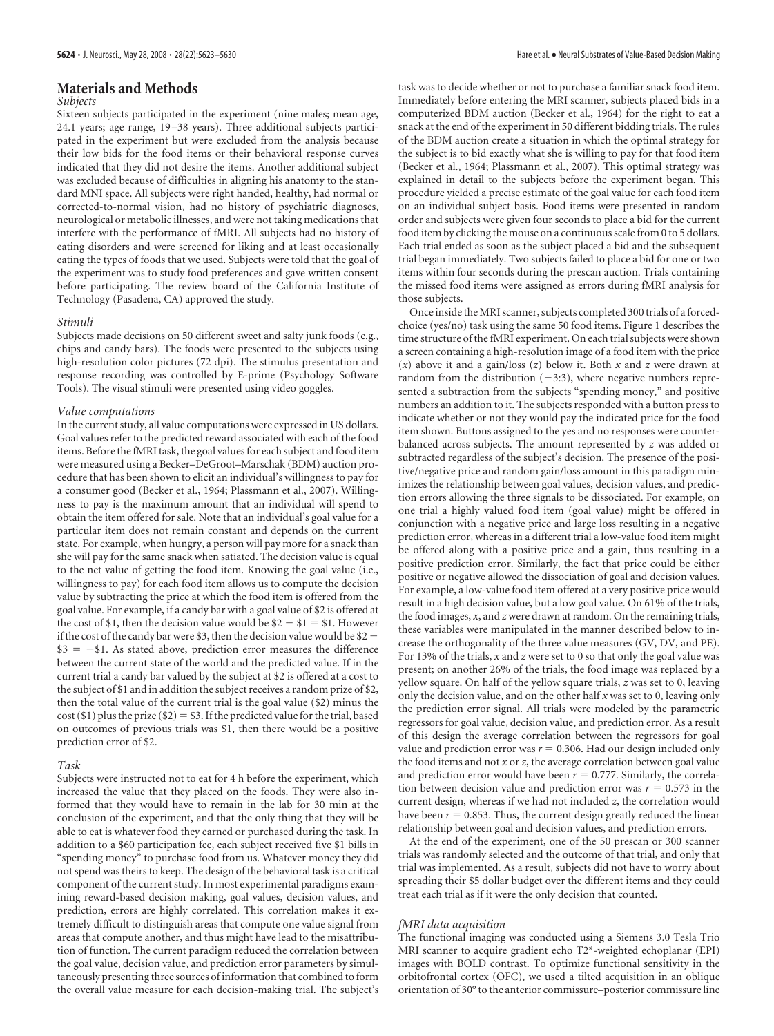# **Materials and Methods**

# *Subjects*

Sixteen subjects participated in the experiment (nine males; mean age, 24.1 years; age range, 19 –38 years). Three additional subjects participated in the experiment but were excluded from the analysis because their low bids for the food items or their behavioral response curves indicated that they did not desire the items. Another additional subject was excluded because of difficulties in aligning his anatomy to the standard MNI space. All subjects were right handed, healthy, had normal or corrected-to-normal vision, had no history of psychiatric diagnoses, neurological or metabolic illnesses, and were not taking medications that interfere with the performance of fMRI. All subjects had no history of eating disorders and were screened for liking and at least occasionally eating the types of foods that we used. Subjects were told that the goal of the experiment was to study food preferences and gave written consent before participating. The review board of the California Institute of Technology (Pasadena, CA) approved the study.

#### *Stimuli*

Subjects made decisions on 50 different sweet and salty junk foods (e.g., chips and candy bars). The foods were presented to the subjects using high-resolution color pictures (72 dpi). The stimulus presentation and response recording was controlled by E-prime (Psychology Software Tools). The visual stimuli were presented using video goggles.

## *Value computations*

In the current study, all value computations were expressed in US dollars. Goal values refer to the predicted reward associated with each of the food items. Before the fMRI task, the goal values for each subject and food item were measured using a Becker–DeGroot–Marschak (BDM) auction procedure that has been shown to elicit an individual's willingness to pay for a consumer good (Becker et al., 1964; Plassmann et al., 2007). Willingness to pay is the maximum amount that an individual will spend to obtain the item offered for sale. Note that an individual's goal value for a particular item does not remain constant and depends on the current state. For example, when hungry, a person will pay more for a snack than she will pay for the same snack when satiated. The decision value is equal to the net value of getting the food item. Knowing the goal value (i.e., willingness to pay) for each food item allows us to compute the decision value by subtracting the price at which the food item is offered from the goal value. For example, if a candy bar with a goal value of \$2 is offered at the cost of \$1, then the decision value would be  $$2 - $1 = $1$ . However if the cost of the candy bar were \$3, then the decision value would be \$2  $$3 = -1$ . As stated above, prediction error measures the difference between the current state of the world and the predicted value. If in the current trial a candy bar valued by the subject at \$2 is offered at a cost to the subject of \$1 and in addition the subject receives a random prize of \$2, then the total value of the current trial is the goal value (\$2) minus the  $cost$  (\$1) plus the prize (\$2) = \$3. If the predicted value for the trial, based on outcomes of previous trials was \$1, then there would be a positive prediction error of \$2.

## *Task*

Subjects were instructed not to eat for 4 h before the experiment, which increased the value that they placed on the foods. They were also informed that they would have to remain in the lab for 30 min at the conclusion of the experiment, and that the only thing that they will be able to eat is whatever food they earned or purchased during the task. In addition to a \$60 participation fee, each subject received five \$1 bills in "spending money" to purchase food from us. Whatever money they did not spend was theirs to keep. The design of the behavioral task is a critical component of the current study. In most experimental paradigms examining reward-based decision making, goal values, decision values, and prediction, errors are highly correlated. This correlation makes it extremely difficult to distinguish areas that compute one value signal from areas that compute another, and thus might have lead to the misattribution of function. The current paradigm reduced the correlation between the goal value, decision value, and prediction error parameters by simultaneously presenting three sources of information that combined to form the overall value measure for each decision-making trial. The subject's

task was to decide whether or not to purchase a familiar snack food item. Immediately before entering the MRI scanner, subjects placed bids in a computerized BDM auction (Becker et al., 1964) for the right to eat a snack at the end of the experiment in 50 different bidding trials. The rules of the BDM auction create a situation in which the optimal strategy for the subject is to bid exactly what she is willing to pay for that food item (Becker et al., 1964; Plassmann et al., 2007). This optimal strategy was explained in detail to the subjects before the experiment began. This procedure yielded a precise estimate of the goal value for each food item on an individual subject basis. Food items were presented in random order and subjects were given four seconds to place a bid for the current food item by clicking the mouse on a continuous scale from 0 to 5 dollars. Each trial ended as soon as the subject placed a bid and the subsequent trial began immediately. Two subjects failed to place a bid for one or two items within four seconds during the prescan auction. Trials containing the missed food items were assigned as errors during fMRI analysis for those subjects.

Once inside the MRI scanner, subjects completed 300 trials of a forcedchoice (yes/no) task using the same 50 food items. Figure 1 describes the time structure of the fMRI experiment. On each trial subjects were shown a screen containing a high-resolution image of a food item with the price (*x*) above it and a gain/loss (*z*) below it. Both *x* and *z* were drawn at random from the distribution  $(-3:3)$ , where negative numbers represented a subtraction from the subjects "spending money," and positive numbers an addition to it. The subjects responded with a button press to indicate whether or not they would pay the indicated price for the food item shown. Buttons assigned to the yes and no responses were counterbalanced across subjects. The amount represented by *z* was added or subtracted regardless of the subject's decision. The presence of the positive/negative price and random gain/loss amount in this paradigm minimizes the relationship between goal values, decision values, and prediction errors allowing the three signals to be dissociated. For example, on one trial a highly valued food item (goal value) might be offered in conjunction with a negative price and large loss resulting in a negative prediction error, whereas in a different trial a low-value food item might be offered along with a positive price and a gain, thus resulting in a positive prediction error. Similarly, the fact that price could be either positive or negative allowed the dissociation of goal and decision values. For example, a low-value food item offered at a very positive price would result in a high decision value, but a low goal value. On 61% of the trials, the food images, *x*, and *z* were drawn at random. On the remaining trials, these variables were manipulated in the manner described below to increase the orthogonality of the three value measures (GV, DV, and PE). For 13% of the trials, *x* and *z* were set to 0 so that only the goal value was present; on another 26% of the trials, the food image was replaced by a yellow square. On half of the yellow square trials, *z* was set to 0, leaving only the decision value, and on the other half *x* was set to 0, leaving only the prediction error signal. All trials were modeled by the parametric regressors for goal value, decision value, and prediction error. As a result of this design the average correlation between the regressors for goal value and prediction error was  $r = 0.306$ . Had our design included only the food items and not *x* or *z*, the average correlation between goal value and prediction error would have been  $r = 0.777$ . Similarly, the correlation between decision value and prediction error was  $r = 0.573$  in the current design, whereas if we had not included *z*, the correlation would have been  $r = 0.853$ . Thus, the current design greatly reduced the linear relationship between goal and decision values, and prediction errors.

At the end of the experiment, one of the 50 prescan or 300 scanner trials was randomly selected and the outcome of that trial, and only that trial was implemented. As a result, subjects did not have to worry about spreading their \$5 dollar budget over the different items and they could treat each trial as if it were the only decision that counted.

## *fMRI data acquisition*

The functional imaging was conducted using a Siemens 3.0 Tesla Trio MRI scanner to acquire gradient echo T2\*-weighted echoplanar (EPI) images with BOLD contrast. To optimize functional sensitivity in the orbitofrontal cortex (OFC), we used a tilted acquisition in an oblique orientation of 30° to the anterior commissure–posterior commissure line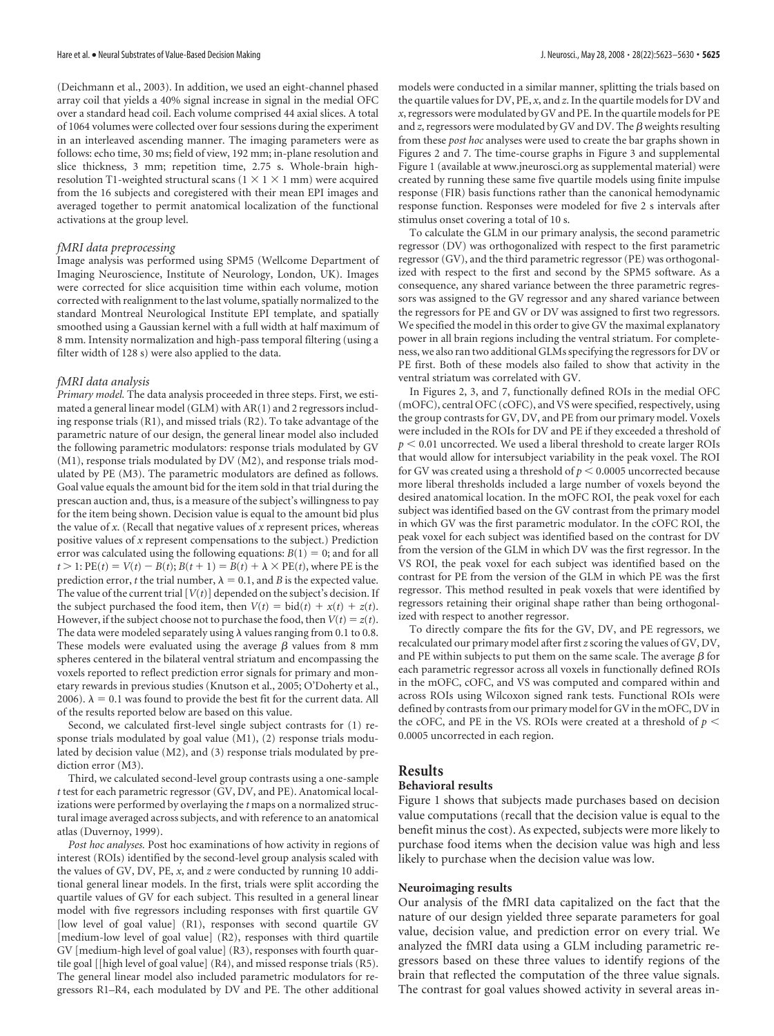(Deichmann et al., 2003). In addition, we used an eight-channel phased array coil that yields a 40% signal increase in signal in the medial OFC over a standard head coil. Each volume comprised 44 axial slices. A total of 1064 volumes were collected over four sessions during the experiment in an interleaved ascending manner. The imaging parameters were as follows: echo time, 30 ms; field of view, 192 mm; in-plane resolution and slice thickness, 3 mm; repetition time, 2.75 s. Whole-brain highresolution T1-weighted structural scans ( $1 \times 1 \times 1$  mm) were acquired from the 16 subjects and coregistered with their mean EPI images and averaged together to permit anatomical localization of the functional activations at the group level.

## *fMRI data preprocessing*

Image analysis was performed using SPM5 (Wellcome Department of Imaging Neuroscience, Institute of Neurology, London, UK). Images were corrected for slice acquisition time within each volume, motion corrected with realignment to the last volume, spatially normalized to the standard Montreal Neurological Institute EPI template, and spatially smoothed using a Gaussian kernel with a full width at half maximum of 8 mm. Intensity normalization and high-pass temporal filtering (using a filter width of 128 s) were also applied to the data.

#### *fMRI data analysis*

*Primary model.* The data analysis proceeded in three steps. First, we estimated a general linear model (GLM) with AR(1) and 2 regressors including response trials (R1), and missed trials (R2). To take advantage of the parametric nature of our design, the general linear model also included the following parametric modulators: response trials modulated by GV (M1), response trials modulated by DV (M2), and response trials modulated by PE (M3). The parametric modulators are defined as follows. Goal value equals the amount bid for the item sold in that trial during the prescan auction and, thus, is a measure of the subject's willingness to pay for the item being shown. Decision value is equal to the amount bid plus the value of *x*. (Recall that negative values of *x* represent prices, whereas positive values of *x* represent compensations to the subject.) Prediction error was calculated using the following equations:  $B(1) = 0$ ; and for all  $t > 1$ :  $PE(t) = V(t) - B(t)$ ;  $B(t + 1) = B(t) + \lambda \times PE(t)$ , where PE is the prediction error, *t* the trial number,  $\lambda = 0.1$ , and *B* is the expected value. The value of the current trial  $[V(t)]$  depended on the subject's decision. If the subject purchased the food item, then  $V(t) = bid(t) + x(t) + z(t)$ . However, if the subject choose not to purchase the food, then  $V(t) = z(t)$ . The data were modeled separately using  $\lambda$  values ranging from 0.1 to 0.8. These models were evaluated using the average  $\beta$  values from 8 mm spheres centered in the bilateral ventral striatum and encompassing the voxels reported to reflect prediction error signals for primary and monetary rewards in previous studies (Knutson et al., 2005; O'Doherty et al., 2006).  $\lambda = 0.1$  was found to provide the best fit for the current data. All of the results reported below are based on this value.

Second, we calculated first-level single subject contrasts for (1) response trials modulated by goal value (M1), (2) response trials modulated by decision value (M2), and (3) response trials modulated by prediction error (M3).

Third, we calculated second-level group contrasts using a one-sample *t* test for each parametric regressor (GV, DV, and PE). Anatomical localizations were performed by overlaying the *t* maps on a normalized structural image averaged across subjects, and with reference to an anatomical atlas (Duvernoy, 1999).

*Post hoc analyses.* Post hoc examinations of how activity in regions of interest (ROIs) identified by the second-level group analysis scaled with the values of GV, DV, PE, *x*, and *z* were conducted by running 10 additional general linear models. In the first, trials were split according the quartile values of GV for each subject. This resulted in a general linear model with five regressors including responses with first quartile GV [low level of goal value] (R1), responses with second quartile GV [medium-low level of goal value] (R2), responses with third quartile GV [medium-high level of goal value] (R3), responses with fourth quartile goal [[high level of goal value] (R4), and missed response trials (R5). The general linear model also included parametric modulators for regressors R1–R4, each modulated by DV and PE. The other additional

models were conducted in a similar manner, splitting the trials based on the quartile values for DV, PE, *x*, and *z*. In the quartile models for DV and *x*, regressors were modulated by GV and PE. In the quartile models for PE and *z*, regressors were modulated by GV and DV. The  $\beta$  weights resulting from these *post hoc* analyses were used to create the bar graphs shown in Figures 2 and 7. The time-course graphs in Figure 3 and supplemental Figure 1 (available at www.jneurosci.org as supplemental material) were created by running these same five quartile models using finite impulse response (FIR) basis functions rather than the canonical hemodynamic response function. Responses were modeled for five 2 s intervals after stimulus onset covering a total of 10 s.

To calculate the GLM in our primary analysis, the second parametric regressor (DV) was orthogonalized with respect to the first parametric regressor (GV), and the third parametric regressor (PE) was orthogonalized with respect to the first and second by the SPM5 software. As a consequence, any shared variance between the three parametric regressors was assigned to the GV regressor and any shared variance between the regressors for PE and GV or DV was assigned to first two regressors. We specified the model in this order to give GV the maximal explanatory power in all brain regions including the ventral striatum. For completeness, we also ran two additional GLMs specifying the regressors for DV or PE first. Both of these models also failed to show that activity in the ventral striatum was correlated with GV.

In Figures 2, 3, and 7, functionally defined ROIs in the medial OFC (mOFC), central OFC (cOFC), and VS were specified, respectively, using the group contrasts for GV, DV, and PE from our primary model. Voxels were included in the ROIs for DV and PE if they exceeded a threshold of  $p < 0.01$  uncorrected. We used a liberal threshold to create larger ROIs that would allow for intersubject variability in the peak voxel. The ROI for GV was created using a threshold of  $p < 0.0005$  uncorrected because more liberal thresholds included a large number of voxels beyond the desired anatomical location. In the mOFC ROI, the peak voxel for each subject was identified based on the GV contrast from the primary model in which GV was the first parametric modulator. In the cOFC ROI, the peak voxel for each subject was identified based on the contrast for DV from the version of the GLM in which DV was the first regressor. In the VS ROI, the peak voxel for each subject was identified based on the contrast for PE from the version of the GLM in which PE was the first regressor. This method resulted in peak voxels that were identified by regressors retaining their original shape rather than being orthogonalized with respect to another regressor.

To directly compare the fits for the GV, DV, and PE regressors, we recalculated our primary model after first*z*scoring the values of GV, DV, and PE within subjects to put them on the same scale. The average  $\beta$  for each parametric regressor across all voxels in functionally defined ROIs in the mOFC, cOFC, and VS was computed and compared within and across ROIs using Wilcoxon signed rank tests. Functional ROIs were defined by contrasts from our primary model for GV in the mOFC, DV in the cOFC, and PE in the VS. ROIs were created at a threshold of  $p <$ 0.0005 uncorrected in each region.

# **Results**

# **Behavioral results**

Figure 1 shows that subjects made purchases based on decision value computations (recall that the decision value is equal to the benefit minus the cost). As expected, subjects were more likely to purchase food items when the decision value was high and less likely to purchase when the decision value was low.

## **Neuroimaging results**

Our analysis of the fMRI data capitalized on the fact that the nature of our design yielded three separate parameters for goal value, decision value, and prediction error on every trial. We analyzed the fMRI data using a GLM including parametric regressors based on these three values to identify regions of the brain that reflected the computation of the three value signals. The contrast for goal values showed activity in several areas in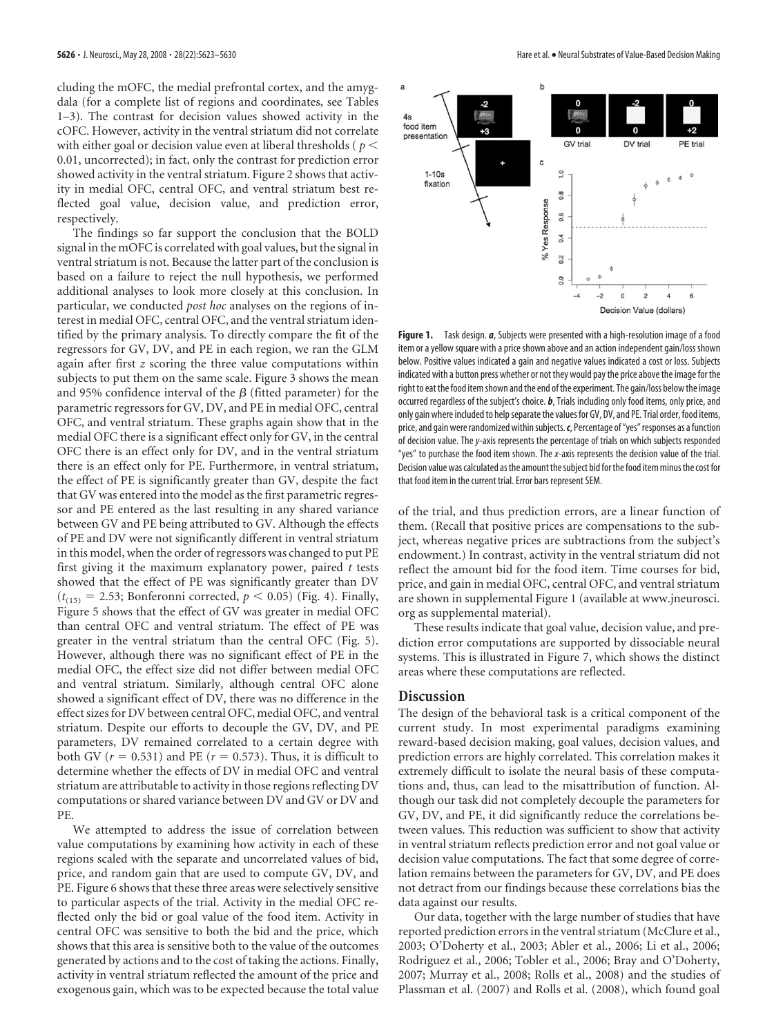cluding the mOFC, the medial prefrontal cortex, and the amygdala (for a complete list of regions and coordinates, see Tables 1–3). The contrast for decision values showed activity in the cOFC. However, activity in the ventral striatum did not correlate with either goal or decision value even at liberal thresholds ( *p* 0.01, uncorrected); in fact, only the contrast for prediction error showed activity in the ventral striatum. Figure 2 shows that activity in medial OFC, central OFC, and ventral striatum best reflected goal value, decision value, and prediction error, respectively.

The findings so far support the conclusion that the BOLD signal in the mOFC is correlated with goal values, but the signal in ventral striatum is not. Because the latter part of the conclusion is based on a failure to reject the null hypothesis, we performed additional analyses to look more closely at this conclusion. In particular, we conducted *post hoc* analyses on the regions of interest in medial OFC, central OFC, and the ventral striatum identified by the primary analysis. To directly compare the fit of the regressors for GV, DV, and PE in each region, we ran the GLM again after first *z* scoring the three value computations within subjects to put them on the same scale. Figure 3 shows the mean and 95% confidence interval of the  $\beta$  (fitted parameter) for the parametric regressors for GV, DV, and PE in medial OFC, central OFC, and ventral striatum. These graphs again show that in the medial OFC there is a significant effect only for GV, in the central OFC there is an effect only for DV, and in the ventral striatum there is an effect only for PE. Furthermore, in ventral striatum, the effect of PE is significantly greater than GV, despite the fact that GV was entered into the model as the first parametric regressor and PE entered as the last resulting in any shared variance between GV and PE being attributed to GV. Although the effects of PE and DV were not significantly different in ventral striatum in this model, when the order of regressors was changed to put PE first giving it the maximum explanatory power, paired *t* tests showed that the effect of PE was significantly greater than DV  $(t_{(15)} = 2.53;$  Bonferonni corrected,  $p < 0.05$ ) (Fig. 4). Finally, Figure 5 shows that the effect of GV was greater in medial OFC than central OFC and ventral striatum. The effect of PE was greater in the ventral striatum than the central OFC (Fig. 5). However, although there was no significant effect of PE in the medial OFC, the effect size did not differ between medial OFC and ventral striatum. Similarly, although central OFC alone showed a significant effect of DV, there was no difference in the effect sizes for DV between central OFC, medial OFC, and ventral striatum. Despite our efforts to decouple the GV, DV, and PE parameters, DV remained correlated to a certain degree with both GV  $(r = 0.531)$  and PE  $(r = 0.573)$ . Thus, it is difficult to determine whether the effects of DV in medial OFC and ventral striatum are attributable to activity in those regions reflecting DV computations or shared variance between DV and GV or DV and PE.

We attempted to address the issue of correlation between value computations by examining how activity in each of these regions scaled with the separate and uncorrelated values of bid, price, and random gain that are used to compute GV, DV, and PE. Figure 6 shows that these three areas were selectively sensitive to particular aspects of the trial. Activity in the medial OFC reflected only the bid or goal value of the food item. Activity in central OFC was sensitive to both the bid and the price, which shows that this area is sensitive both to the value of the outcomes generated by actions and to the cost of taking the actions. Finally, activity in ventral striatum reflected the amount of the price and exogenous gain, which was to be expected because the total value



**Figure 1.** Task design. *a*, Subjects were presented with a high-resolution image of a food item or a yellow square with a price shown above and an action independent gain/loss shown below. Positive values indicated a gain and negative values indicated a cost or loss. Subjects indicated with a button press whether or not they would pay the price above the image for the right to eat the food item shown and the end of the experiment. The gain/loss below the image occurred regardless of the subject's choice. *b*, Trials including only food items, only price, and only gain where included to helpseparate the values for GV, DV, and PE. Trial order, food items, price, and gain were randomized within subjects. c, Percentage of "yes" responses as a function of decision value. The *y*-axis represents the percentage of trials on which subjects responded "yes" to purchase the food item shown. The *x*-axis represents the decision value of the trial. Decision value was calculated as the amount the subject bid for the food item minus the cost for that food item in the current trial. Error bars represent SEM.

of the trial, and thus prediction errors, are a linear function of them. (Recall that positive prices are compensations to the subject, whereas negative prices are subtractions from the subject's endowment.) In contrast, activity in the ventral striatum did not reflect the amount bid for the food item. Time courses for bid, price, and gain in medial OFC, central OFC, and ventral striatum are shown in supplemental Figure 1 (available at www.jneurosci. org as supplemental material).

These results indicate that goal value, decision value, and prediction error computations are supported by dissociable neural systems. This is illustrated in Figure 7, which shows the distinct areas where these computations are reflected.

## **Discussion**

The design of the behavioral task is a critical component of the current study. In most experimental paradigms examining reward-based decision making, goal values, decision values, and prediction errors are highly correlated. This correlation makes it extremely difficult to isolate the neural basis of these computations and, thus, can lead to the misattribution of function. Although our task did not completely decouple the parameters for GV, DV, and PE, it did significantly reduce the correlations between values. This reduction was sufficient to show that activity in ventral striatum reflects prediction error and not goal value or decision value computations. The fact that some degree of correlation remains between the parameters for GV, DV, and PE does not detract from our findings because these correlations bias the data against our results.

Our data, together with the large number of studies that have reported prediction errors in the ventral striatum (McClure et al., 2003; O'Doherty et al., 2003; Abler et al., 2006; Li et al., 2006; Rodriguez et al., 2006; Tobler et al., 2006; Bray and O'Doherty, 2007; Murray et al., 2008; Rolls et al., 2008) and the studies of Plassman et al. (2007) and Rolls et al. (2008), which found goal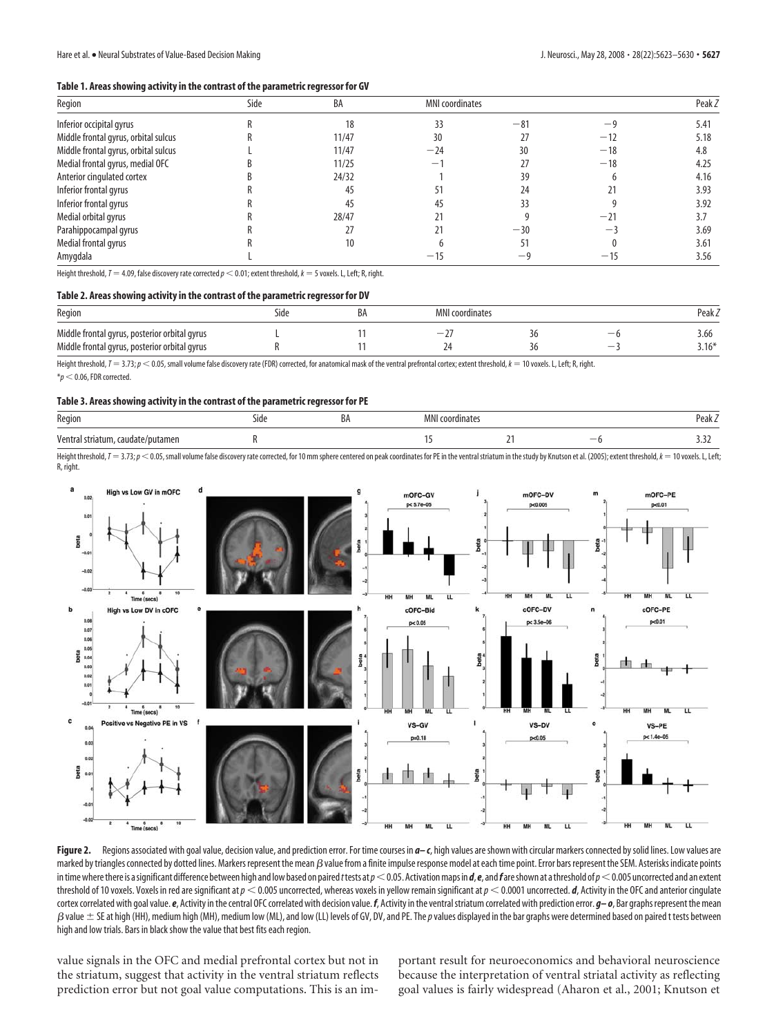# **Table 1. Areas showing activity in the contrast of the parametric regressor for GV**

| Region                               | Side | BA    | <b>MNI</b> coordinates |       |       | Peak Z |
|--------------------------------------|------|-------|------------------------|-------|-------|--------|
| Inferior occipital gyrus             |      | 18    | 33                     | $-81$ | — C   | 5.41   |
| Middle frontal gyrus, orbital sulcus |      | 11/47 | 30                     |       | $-12$ | 5.18   |
| Middle frontal gyrus, orbital sulcus |      | 11/47 | $-24$                  | 30    | $-18$ | 4.8    |
| Medial frontal gyrus, medial OFC     |      | 11/25 |                        |       | $-18$ | 4.25   |
| Anterior cingulated cortex           |      | 24/32 |                        | 39    |       | 4.16   |
| Inferior frontal gyrus               |      | 45    |                        | 24    |       | 3.93   |
| Inferior frontal gyrus               |      | 45    | 45                     |       |       | 3.92   |
| Medial orbital gyrus                 |      | 28/47 |                        |       | $-2i$ | 3.7    |
| Parahippocampal gyrus                |      |       |                        | $-30$ | —     | 3.69   |
| Medial frontal gyrus                 |      | 10    |                        |       |       | 3.61   |
| Amygdala                             |      |       | $-15$                  | — u   | $-15$ | 3.56   |

Height threshold,  $I=$  4.09, false discovery rate corrected  $p$   $<$  0.01; extent threshold,  $k=$  5 voxels. L, Left; R, right.

#### **Table 2. Areas showing activity in the contrast of the parametric regressor for DV**

| Region                                        | $\ddot{\phantom{1}}$<br>Side | BA | ИNІ<br>l coordinates |     |  | Peak    |  |
|-----------------------------------------------|------------------------------|----|----------------------|-----|--|---------|--|
| Middle frontal gyrus, posterior orbital gyrus |                              |    | —                    | JU. |  | 3.66    |  |
| Middle frontal gyrus, posterior orbital gyrus |                              |    | . .                  |     |  | $3.16*$ |  |

Height threshold, *T*  $=$  3.73;  $p$   $<$  0.05, small volume false discovery rate (FDR) corrected, for anatomical mask of the ventral prefrontal cortex; extent threshold,  $k$   $=$  10 voxels. L, Left; R, right.  $*_p$  < 0.06, FDR corrected.

# **Table 3. Areas showing activity in the contrast of the parametric regressor for PE**

| Reaion                                 | Side | BA | ' coordinate. |  |      | Peak∠ |
|----------------------------------------|------|----|---------------|--|------|-------|
| Ventral<br>I striatum, caudate/putamen |      |    |               |  | $-1$ | .     |

Height threshold,  $I = 3.73$ ;  $p < 0.05$ , small volume false discovery rate corrected, for 10 mm sphere centered on peak coordinates for PE in the ventral striatum in the study by Knutson et al. (2005); extent threshold,  $k$ R, right.



Figure 2. Regions associated with goal value, decision value, and prediction error. For time courses in  $a-c$ , high values are shown with circular markers connected by solid lines. Low values are marked by triangles connected by dotted lines. Markers represent the mean  $\beta$  value from a finite impulse response model at each time point. Error bars represent the SEM. Asterisks indicate points intimewherethere is asignificant difference between high and low based on paired*t*tests at*p*0.05.Activationmaps in*d*,*e*, and*f*areshown at athreshold of*p*0.005 uncorrected and an extent threshold of 10 voxels. Voxels in red are significant at  $p < 0.005$  uncorrected, whereas voxels in yellow remain significant at  $p < 0.0001$  uncorrected. *d*, Activity in the OFC and anterior cingulate cortex correlated with goal value. e, Activity in the central OFC correlated with decision value. *f*, Activity in the ventral striatum correlated with prediction error.  $g$  - o, Bar graphs represent the mean  $\beta$  value  $\pm$  SE at high (HH), medium high (MH), medium low (ML), and low (LL) levels of GV, DV, and PE. The*p* values displayed in the bar graphs were determined based on paired t tests between high and low trials. Bars in black show the value that best fits each region.

value signals in the OFC and medial prefrontal cortex but not in the striatum, suggest that activity in the ventral striatum reflects prediction error but not goal value computations. This is an important result for neuroeconomics and behavioral neuroscience because the interpretation of ventral striatal activity as reflecting goal values is fairly widespread (Aharon et al., 2001; Knutson et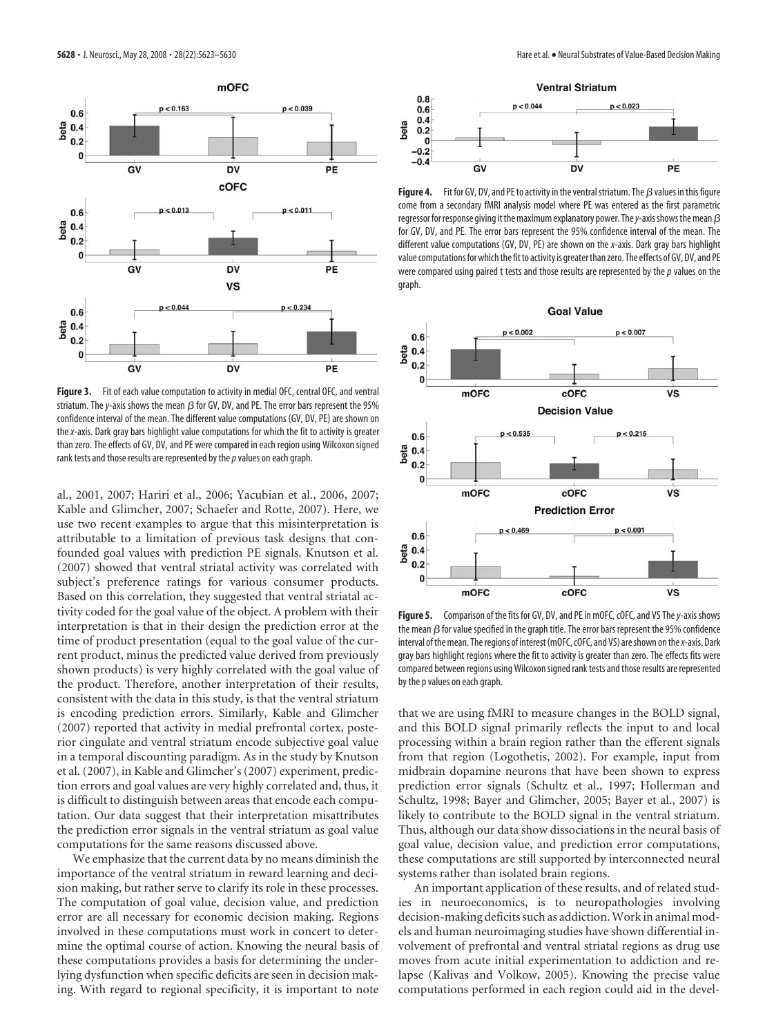

Figure 3. Fit of each value computation to activity in medial OFC, central OFC, and ventral striatum. The *y*-axis shows the mean  $\beta$  for GV, DV, and PE. The error bars represent the 95% confidence interval of the mean. The different value computations (GV, DV, PE) are shown on the *x*-axis. Dark gray bars highlight value computations for which the fit to activity is greater than zero. The effects of GV, DV, and PE were compared in each region using Wilcoxon signed rank tests and those results are represented by the p values on each graph.

al., 2001, 2007; Hariri et al., 2006; Yacubian et al., 2006, 2007; Kable and Glimcher, 2007; Schaefer and Rotte, 2007). Here, we use two recent examples to argue that this misinterpretation is attributable to a limitation of previous task designs that confounded goal values with prediction PE signals. Knutson et al. (2007) showed that ventral striatal activity was correlated with subject's preference ratings for various consumer products. Based on this correlation, they suggested that ventral striatal activity coded for the goal value of the object. A problem with their interpretation is that in their design the prediction error at the time of product presentation (equal to the goal value of the current product, minus the predicted value derived from previously shown products) is very highly correlated with the goal value of the product. Therefore, another interpretation of their results, consistent with the data in this study, is that the ventral striatum is encoding prediction errors. Similarly, Kable and Glimcher (2007) reported that activity in medial prefrontal cortex, posterior cingulate and ventral striatum encode subjective goal value in a temporal discounting paradigm. As in the study by Knutson et al. (2007), in Kable and Glimcher's (2007) experiment, prediction errors and goal values are very highly correlated and, thus, it is difficult to distinguish between areas that encode each computation. Our data suggest that their interpretation misattributes the prediction error signals in the ventral striatum as goal value computations for the same reasons discussed above.

We emphasize that the current data by no means diminish the importance of the ventral striatum in reward learning and decision making, but rather serve to clarify its role in these processes. The computation of goal value, decision value, and prediction error are all necessary for economic decision making. Regions involved in these computations must work in concert to determine the optimal course of action. Knowing the neural basis of these computations provides a basis for determining the underlying dysfunction when specific deficits are seen in decision making. With regard to regional specificity, it is important to note



**Figure 4.** Fit for GV, DV, and PE to activity in the ventral striatum. The  $\beta$  values in this figure come from a secondary fMRI analysis model where PE was entered as the first parametric regressor for response giving it the maximum explanatory power. The *y*-axis shows the mean  $\beta$ for GV, DV, and PE. The error bars represent the 95% confidence interval of the mean. The different value computations (GV, DV, PE) are shown on the *x*-axis. Dark gray bars highlight value computations for which the fit to activity is greater than zero. The effects of GV, DV, and PE were compared using paired t tests and those results are represented by the *p* values on the graph.



**Figure 5.** Comparison of the fits for GV, DV, and PE in mOFC, cOFC, and VS The*y*-axis shows the mean  $\beta$  for value specified in the graph title. The error bars represent the 95% confidence interval of the mean. The regions of interest (mOFC, cOFC, and VS) are shown on the *x*-axis. Dark gray bars highlight regions where the fit to activity is greater than zero. The effects fits were compared between regions using Wilcoxon signed rank tests and those results are represented by the p values on each graph.

that we are using fMRI to measure changes in the BOLD signal, and this BOLD signal primarily reflects the input to and local processing within a brain region rather than the efferent signals from that region (Logothetis, 2002). For example, input from midbrain dopamine neurons that have been shown to express prediction error signals (Schultz et al., 1997; Hollerman and Schultz, 1998; Bayer and Glimcher, 2005; Bayer et al., 2007) is likely to contribute to the BOLD signal in the ventral striatum. Thus, although our data show dissociations in the neural basis of goal value, decision value, and prediction error computations, these computations are still supported by interconnected neural systems rather than isolated brain regions.

An important application of these results, and of related studies in neuroeconomics, is to neuropathologies involving decision-making deficits such as addiction.Work in animal models and human neuroimaging studies have shown differential involvement of prefrontal and ventral striatal regions as drug use moves from acute initial experimentation to addiction and relapse (Kalivas and Volkow, 2005). Knowing the precise value computations performed in each region could aid in the devel-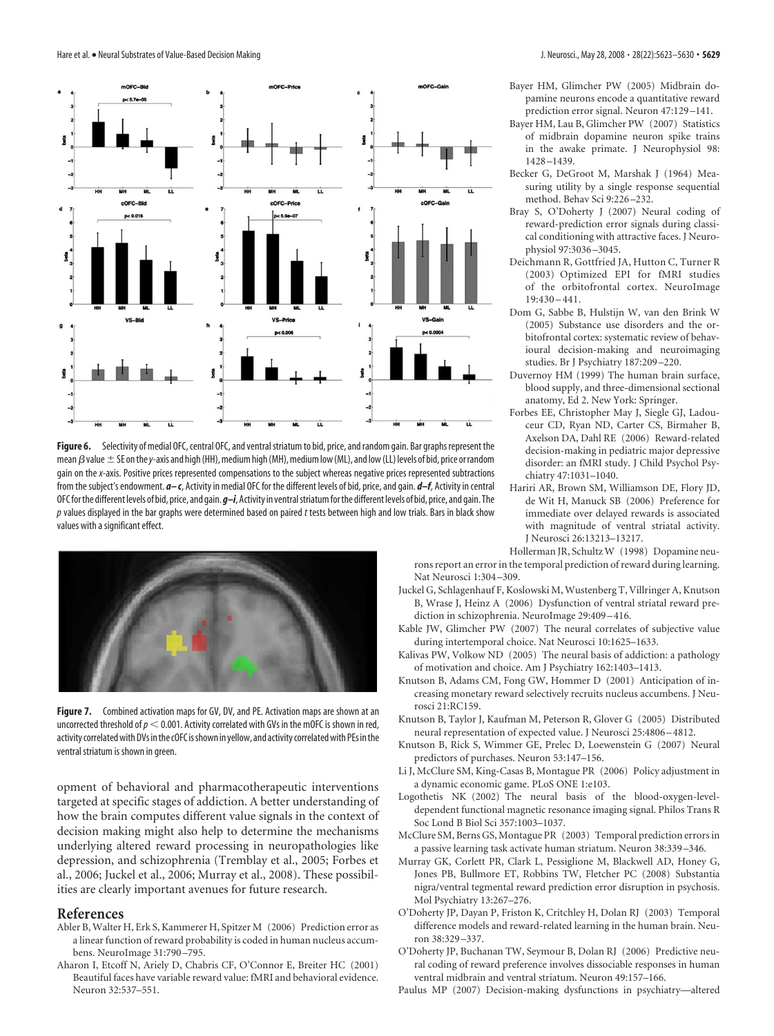

Figure 6. Selectivity of medial OFC, central OFC, and ventral striatum to bid, price, and random gain. Bar graphs represent the mean  $\beta$  value  $\pm$  SE on the*y*-axis and high (HH), medium high (MH), medium low (ML), and low (LL) levels of bid, price or random gain on the *x*-axis. Positive prices represented compensations to the subject whereas negative prices represented subtractions from the subject's endowment. *a– c*, Activity in medial OFC for the different levels of bid, price, and gain. *d–f*, Activity in central OFCforthe different levels of bid, price, and gain. *g–i*, Activity in ventralstriatumforthe different levels of bid, price, and gain. The *p* values displayed in the bar graphs were determined based on paired*t* tests between high and low trials. Bars in black show values with a significant effect.



**Figure 7.** Combined activation maps for GV, DV, and PE. Activation maps are shown at an uncorrected threshold of  $p < 0.001$ . Activity correlated with GVs in the mOFC is shown in red, activity correlated with DVs in the cOFC is shown in yellow, and activity correlated with PEs in the ventral striatum is shown in green.

opment of behavioral and pharmacotherapeutic interventions targeted at specific stages of addiction. A better understanding of how the brain computes different value signals in the context of decision making might also help to determine the mechanisms underlying altered reward processing in neuropathologies like depression, and schizophrenia (Tremblay et al., 2005; Forbes et al., 2006; Juckel et al., 2006; Murray et al., 2008). These possibilities are clearly important avenues for future research.

# **References**

- Abler B, Walter H, Erk S, Kammerer H, Spitzer M (2006) Prediction error as a linear function of reward probability is coded in human nucleus accumbens. NeuroImage 31:790 –795.
- Aharon I, Etcoff N, Ariely D, Chabris CF, O'Connor E, Breiter HC (2001) Beautiful faces have variable reward value: fMRI and behavioral evidence. Neuron 32:537–551.
- Bayer HM, Glimcher PW (2005) Midbrain dopamine neurons encode a quantitative reward prediction error signal. Neuron 47:129 –141.
- Bayer HM, Lau B, Glimcher PW (2007) Statistics of midbrain dopamine neuron spike trains in the awake primate. J Neurophysiol 98: 1428 –1439.
- Becker G, DeGroot M, Marshak J (1964) Measuring utility by a single response sequential method. Behav Sci 9:226 –232.
- Bray S, O'Doherty J (2007) Neural coding of reward-prediction error signals during classical conditioning with attractive faces. J Neurophysiol 97:3036 –3045.
- Deichmann R, Gottfried JA, Hutton C, Turner R (2003) Optimized EPI for fMRI studies of the orbitofrontal cortex. NeuroImage 19:430 –441.
- Dom G, Sabbe B, Hulstijn W, van den Brink W (2005) Substance use disorders and the orbitofrontal cortex: systematic review of behavioural decision-making and neuroimaging studies. Br J Psychiatry 187:209 –220.
- Duvernoy HM (1999) The human brain surface, blood supply, and three-dimensional sectional anatomy, Ed 2. New York: Springer.
- Forbes EE, Christopher May J, Siegle GJ, Ladouceur CD, Ryan ND, Carter CS, Birmaher B, Axelson DA, Dahl RE (2006) Reward-related decision-making in pediatric major depressive disorder: an fMRI study. J Child Psychol Psychiatry 47:1031–1040.
- Hariri AR, Brown SM, Williamson DE, Flory JD, de Wit H, Manuck SB (2006) Preference for immediate over delayed rewards is associated with magnitude of ventral striatal activity. J Neurosci 26:13213–13217.

Hollerman JR, SchultzW (1998) Dopamine neurons report an error in the temporal prediction of reward during learning. Nat Neurosci 1:304 –309.

- Juckel G, Schlagenhauf F, Koslowski M, Wustenberg T, Villringer A, Knutson B, Wrase J, Heinz A (2006) Dysfunction of ventral striatal reward prediction in schizophrenia. NeuroImage 29:409 –416.
- Kable JW, Glimcher PW (2007) The neural correlates of subjective value during intertemporal choice. Nat Neurosci 10:1625–1633.
- Kalivas PW, Volkow ND (2005) The neural basis of addiction: a pathology of motivation and choice. Am J Psychiatry 162:1403–1413.
- Knutson B, Adams CM, Fong GW, Hommer D (2001) Anticipation of increasing monetary reward selectively recruits nucleus accumbens. J Neurosci 21:RC159.
- Knutson B, Taylor J, Kaufman M, Peterson R, Glover G (2005) Distributed neural representation of expected value. J Neurosci 25:4806 –4812.
- Knutson B, Rick S, Wimmer GE, Prelec D, Loewenstein G (2007) Neural predictors of purchases. Neuron 53:147–156.
- Li J, McClure SM, King-Casas B, Montague PR (2006) Policy adjustment in a dynamic economic game. PLoS ONE 1:e103.
- Logothetis NK (2002) The neural basis of the blood-oxygen-leveldependent functional magnetic resonance imaging signal. Philos Trans R Soc Lond B Biol Sci 357:1003–1037.
- McClure SM, Berns GS, Montague PR (2003) Temporal prediction errors in a passive learning task activate human striatum. Neuron 38:339 –346.
- Murray GK, Corlett PR, Clark L, Pessiglione M, Blackwell AD, Honey G, Jones PB, Bullmore ET, Robbins TW, Fletcher PC (2008) Substantia nigra/ventral tegmental reward prediction error disruption in psychosis. Mol Psychiatry 13:267–276.
- O'Doherty JP, Dayan P, Friston K, Critchley H, Dolan RJ (2003) Temporal difference models and reward-related learning in the human brain. Neuron 38:329 –337.
- O'Doherty JP, Buchanan TW, Seymour B, Dolan RJ (2006) Predictive neural coding of reward preference involves dissociable responses in human ventral midbrain and ventral striatum. Neuron 49:157–166.
- Paulus MP (2007) Decision-making dysfunctions in psychiatry—altered